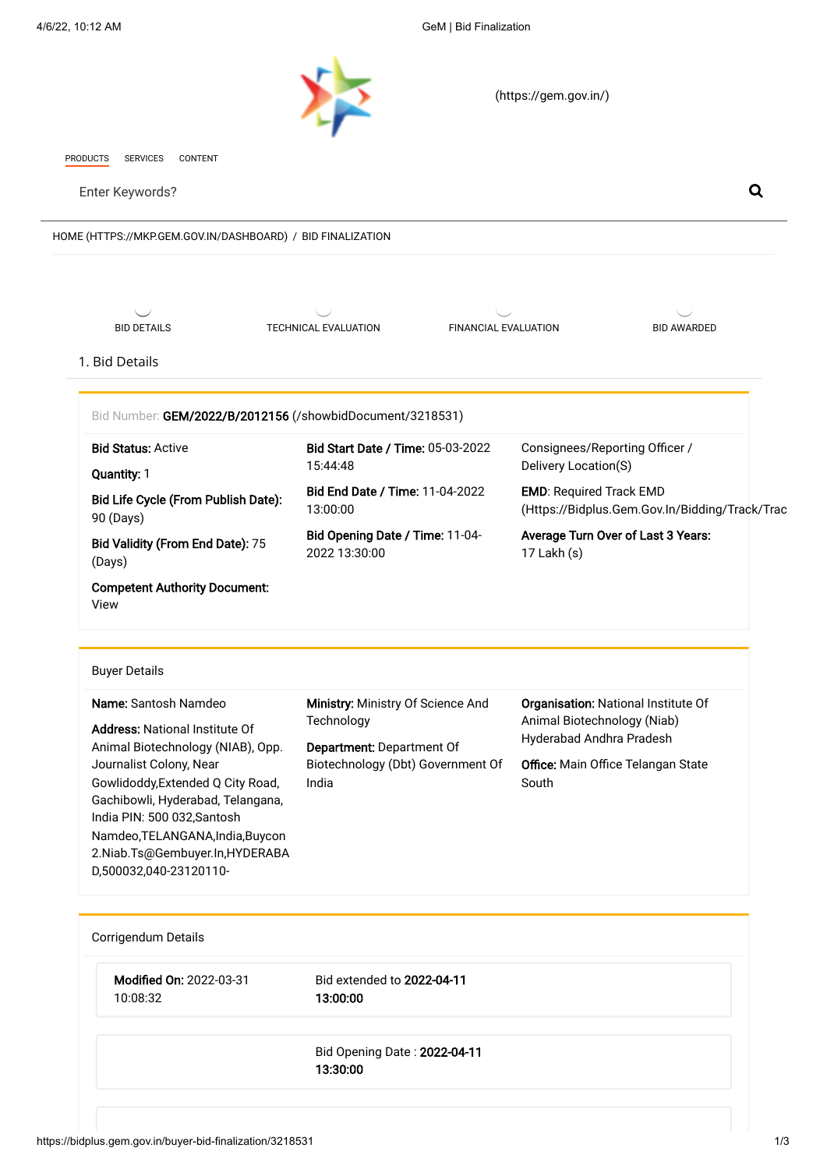<span id="page-0-0"></span>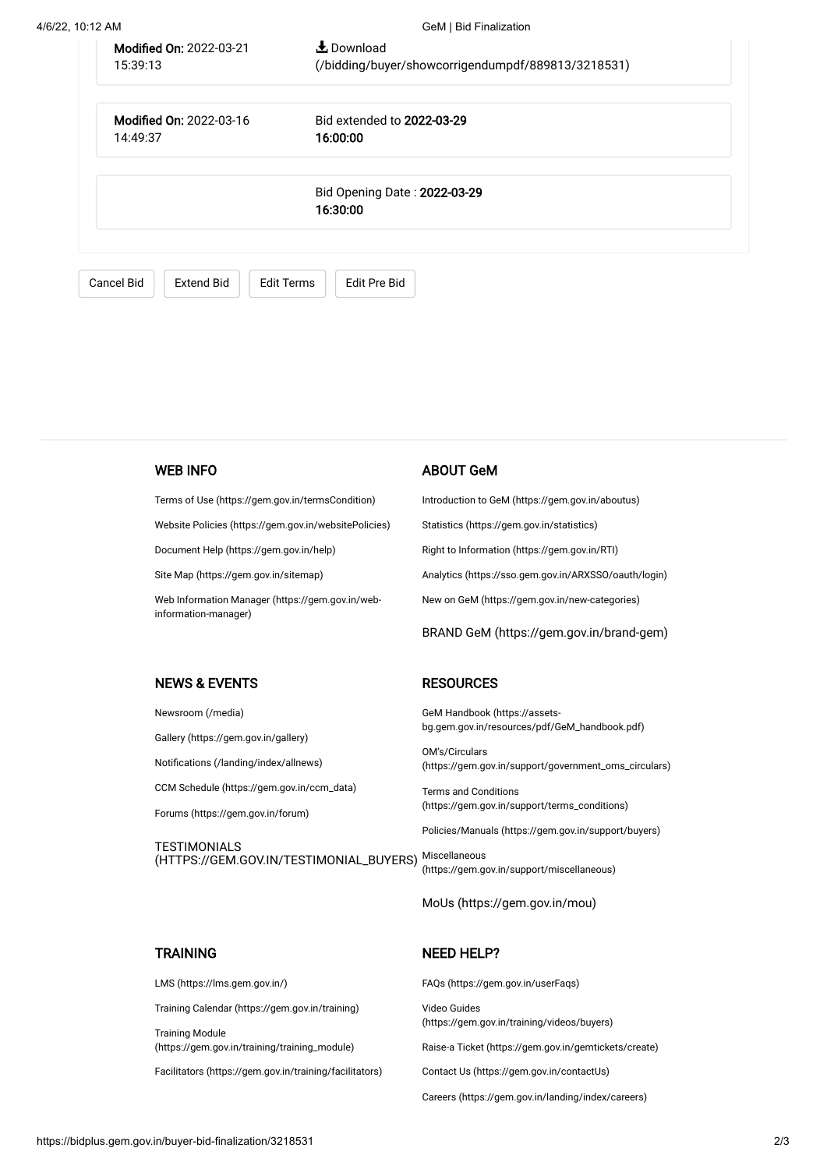| 4/6/22, 10:12 AM |                                            | GeM   Bid Finalization                                                    |  |
|------------------|--------------------------------------------|---------------------------------------------------------------------------|--|
|                  | <b>Modified On: 2022-03-21</b><br>15:39:13 | $\bigstar$ Download<br>(/bidding/buyer/showcorrigendumpdf/889813/3218531) |  |
|                  | <b>Modified On: 2022-03-16</b><br>14:49:37 | Bid extended to 2022-03-29<br>16:00:00                                    |  |
|                  | Bid Opening Date: 2022-03-29<br>16:30:00   |                                                                           |  |
|                  | <b>Cancel Bid</b><br><b>Extend Bid</b>     | <b>Edit Pre Bid</b><br><b>Edit Terms</b>                                  |  |

#### WEB INFO

[Terms of Use \(https://gem.gov.in/termsCondition\)](https://gem.gov.in/termsCondition)

[Website Policies \(https://gem.gov.in/websitePolicies\)](https://gem.gov.in/websitePolicies)

[Document Help \(https://gem.gov.in/help\)](https://gem.gov.in/help)

[Site Map \(https://gem.gov.in/sitemap\)](https://gem.gov.in/sitemap)

NEWS & EVENTS

[Gallery \(https://gem.gov.in/gallery\)](https://gem.gov.in/gallery) [Notifications \(/landing/index/allnews\)](https://bidplus.gem.gov.in/landing/index/allnews)

[Forums \(https://gem.gov.in/forum\)](https://gem.gov.in/forum)

[CCM Schedule \(https://gem.gov.in/ccm\\_data\)](https://gem.gov.in/ccm_data)

[Newsroom \(/media\)](https://bidplus.gem.gov.in/media)

**TESTIMONIALS** 

[Web Information Manager \(https://gem.gov.in/web](https://gem.gov.in/web-information-manager)information-manager)

#### ABOUT GeM

[Introduction to GeM \(https://gem.gov.in/aboutus\)](https://gem.gov.in/aboutus)

[Statistics \(https://gem.gov.in/statistics\)](https://gem.gov.in/statistics)

[Right to Information \(https://gem.gov.in/RTI\)](https://gem.gov.in/RTI)

[Analytics \(https://sso.gem.gov.in/ARXSSO/oauth/login\)](https://sso.gem.gov.in/ARXSSO/oauth/login)

[New on GeM \(https://gem.gov.in/new-categories\)](https://gem.gov.in/new-categories)

[BRAND GeM \(https://gem.gov.in/brand-gem\)](https://gem.gov.in/brand-gem)

## **RESOURCES**

GeM Handbook (https://assets[bg.gem.gov.in/resources/pdf/GeM\\_handbook.pdf\)](https://assets-bg.gem.gov.in/resources/pdf/GeM_handbook.pdf)

OM's/Circulars [\(https://gem.gov.in/support/government\\_oms\\_circulars\)](https://gem.gov.in/support/government_oms_circulars)

Terms and Conditions [\(https://gem.gov.in/support/terms\\_conditions\)](https://gem.gov.in/support/terms_conditions)

[Policies/Manuals \(https://gem.gov.in/support/buyers\)](https://gem.gov.in/support/buyers)

[\(HTTPS://GEM.GOV.IN/TESTIMONIAL\\_BUYERS\)](https://gem.gov.in/testimonial_buyers) Miscellaneous [\(https://gem.gov.in/support/miscellaneous\)](https://gem.gov.in/support/miscellaneous)

[MoUs \(https://gem.gov.in/mou\)](https://gem.gov.in/mou)

## **TRAINING**

[LMS \(https://lms.gem.gov.in/\)](https://lms.gem.gov.in/)

[Training Calendar \(https://gem.gov.in/training\)](https://gem.gov.in/training)

Training Module [\(https://gem.gov.in/training/training\\_module\)](https://gem.gov.in/training/training_module)

[Facilitators \(https://gem.gov.in/training/facilitators\)](https://gem.gov.in/training/facilitators)

# NEED HELP?

[FAQs \(https://gem.gov.in/userFaqs\)](https://gem.gov.in/userFaqs)

Video Guides [\(https://gem.gov.in/training/videos/buyers\)](https://gem.gov.in/training/videos/buyers)

[Raise-a Ticket \(https://gem.gov.in/gemtickets/create\)](https://gem.gov.in/gemtickets/create)

[Contact Us \(https://gem.gov.in/contactUs\)](https://gem.gov.in/contactUs)

[Careers \(https://gem.gov.in/landing/index/careers\)](https://gem.gov.in/landing/index/careers)